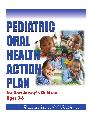# **for New Jersey's Children Ages 0-6** PEDIATRIC ORAL HEALTH ACTION PLAN

*Funded by:* **New Jersey Head Start-State Collaboration Grant and The Association of State and Territorial Dental Directors**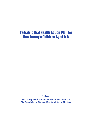# Pediatric Oral Health Action Plan for New Jersey's Children Aged 0-6

*Funded by*

**New Jersey Head Start-State Collaboration Grant and The Association of State and Territorial Dental Directors**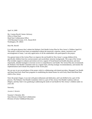April 14, 2009

Ms. Carmen Bovell, Senior Advisory Office of Head Start Head Start Collaboration Office 1250 Maryland Avenue, S.W., Room 8510 Washington, DC 20024

Dear Ms. Bovell:

It is with great pleasure that I submit the Pediatric Oral Health Action Plan for New Jersey's Children Aged 0-6. This project could not have been accomplished without the teamwork, expertise, talents, assistance and encouragement of many. I am truly appreciative of all the stakeholders who participated in the project.

Our general intent of the Action Plan is to improve the oral health for New Jersey's young children (0-6), specifically children from low-socioeconomic and racial/ethnic minority backgrounds. The scope of the Action Plan includes support to enhance prevention services; support of broad-based oral health education; and most importantly, detailed strategies to increase access to comprehensive oral health. The Action Plan also recommends the Pediatric Oral Health Committee meet on a regular basis, develop strategic recommendations, and monitor the implementation and evaluate the progress of the Action plan.

We are now in our second phase of the project which is collaborating with dental providers, Managed Care Health and Head Start/Early Head Start programs in establishing the dental homes for each Early Head Start/Head Start child in New Jersey.

Since the project began, it was met with great enthusiasm and dedication, and I am thrilled to be a part of this process. The Pediatric Oral Health Committee which is a part of New Jersey Oral Health Coalition, both are diligent, and they find it very gratifying in addressing the needs of oral health for New Jersey's children under six years old.

Sincerely,

*Suzanne S. Burnette* 

Suzanne S. Burnette, MA State Director of Head Start Collaboration Division of Early Childhood Education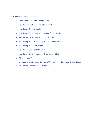This document will be submitted to:

- Center for Health Care Strategies, Inc. (CHCS)
- New Jersey Academy of Pediatric Dentists
- New Jersey Dental Association
- New Jersey Department of Health and Senior Services
- New Jersey Department of Human Services
- New Jersey General Assembly, Health Committee Chair
- New Jersey Head Start Association
- New Jersey Oral Health Coalition
- New Jersey State Senate, Health Committee Chair
- Office of Head Start
- University of Medicine and Dentistry of New Jersey— New Jersey Dental School
- New Jersey Department of Education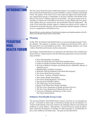# INTRODUCTION

The New Jersey Head Start-State Collaboration Project was awarded an Association of State and Territorial Dental Directors grant (ASTDD) to conduct a Pediatric Oral Health Forum. The purpose of the forum was to solicit input and support from multi-disciplinary organizational groups of stakeholders to develop a Pediatric Oral Health Action Plan for New Jersey's Children Aged 0-6 (Action Plan). The general intent of the Action Plan is to improve the oral health for New Jersey's young children (age 0-6), specifically children from low socioeconomic and racial/ethnic minority backgrounds. The scope of the Action Plan includes support to enhance prevention services; support of broad based oral health education; and most importantly, detailed strategies to increase access to comprehensive oral health services.

Reported below are descriptions of both the development and implementation of the Pediatric Oral Health Forum and the Action Plan.

### **Planning**

In May 2007, the Pediatric Oral Health Forum was convened and approximately 75 people attended. The majority of attendees were healthcare professionals (56%), and of that group 28% were oral healthcare providers. The remaining attendees were social workers, Head Start professionals, teachers and parents.

The Pediatric Oral Health Forum was initiated by the Head Start-State Collaboration Project Director. Representatives from the following organizations served on the planning committee:

- Booz Allen Hamilton, Consulting;
- Center for Family Resource Early Head Start/Head Start;
- Child Care Health Consultant Dentist for Hoboken Board of Education;
- Division of Medical Assistance and Health Services (DMAHS), (Bureau of Dental Services);
- DMAHS Office of Quality Assurance;
- Montclair Child Development Center Head Start Program;
- New Jersey Head Start Association
- New Jersey Academy of Pediatric Dentists;
- New Jersey Dental Association;
- New Jersey Dental Hygienists' Association;
- New Jersey Oral Health Coalition;
- PNC Bank Grow Up Great Program;
- Region II ACF/Head Start Dental Consultant;
- The New Jersey Department of Health and Senior Services;
- The New Jersey Department of Human Services; and
- University of Medicine and Dentistry of New Jersey New Jersey Dental School.

### **Pediatric Oral Health Forum Goals**

The day-long Pediatric Oral Health Forum structure consisted of a two-pronged approach. It included an initial stage of information sharing and the development of a common understanding of the issues related to the challenges inherent in providing oral healthcare to young children. Subsequently, a focused discussion among the participants yielded the development of strategies for addressing plans to systematically improve early childhood oral health status. The goals are described below:

### PEDIATRIC ORAL HEALTH FORUM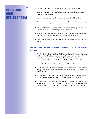### PEDIATRIC ORAL HEALTH FORUM

- Determine the status of early childhood oral health in New Jersey
- Develop strategies to improve a broader understanding and emphasize the importance of oral healthcare
- Increase access to high-quality, comprehensive oral health services
- Promote the importance of oral health to all healthcare professionals, family members, and educators
- Identify and review risk factors for poor oral health including access to care, health disparities, and underlying medical conditions
- Review existing best practice models and identify methods of collaboration that will increase and improve access to quality oral healthcare
- Identify the educational and workforce opportunities for oral health professionals

### **Recommendations made during the Pediatric Oral Health Forum included:**

- The New Jersey Head Start-State Collaboration Project Director will engage the New Jersey Northern Maternal and Child Health Consortium (06/15/07) to facilitate the creation of the Pediatric Oral Health Committee (a sub-committee of the NJ Oral Health Coalition), which would review specific recommendations identified at the forum to improve pediatric oral health and develop the Pediatric Oral Health Action Plan (Action Plan).
- The Pediatric Oral Health Committee will meet on a regular basis, develop strategic recommendations, and monitor the implementation and progress of the Action Plan.
- The Pediatric Oral Health Committee will develop a draft of the Action Plan and will broadly distribute this document for review and comments.
- The New Jersey Head Start-State Collaboration Director will work with the NJ Medicaid managed care dental directors and network of dentists to establish dental homes for children in the Head Start/Early Head Start Programs.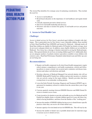The Action Plan identifies five strategic areas for planning consideration. They include the need for:

- Access to oral healthcare
- Broad-based education on the importance of oral healthcare and regular dental visits
- Critically important preventive dental services
- State-level oral health leadership and advocacy
- Structures and data to monitor the quality of oral health services and patient outcomes

#### **1. Access to Oral Health Care**

#### *Challenge:*

Access to dental services for New Jersey's preschool-aged children is fraught with challenges. This is particularly true for New Jersey's most vulnerable children, those enrolled in Early Head Start/Head Start (EHS/HS) and insured by Medicaid. Although nearly all Head Start children are eligible for Medicaid and/or NJ FamilyCare dental coverage, most do not receive adequate dental care. In addition, many eligible children are not enrolled in Medicaid. New Jersey has a shortage of dentists interested in serving the Medicaid population. Most general dentists do not focus on treating children aged 0 to 6.Additionally, there are not adequate numbers of pediatric dentists (specialists) available to treat children with extensive caries. Head Start Performance Standards (initial dental exam and follow-up care) are not being met.

- Require oral health component in all school-based health management; require school entrance comprehensive oral health examinations, referral and followup policies to ensure a dental visit occurred and to minimize oral disease transmission and reduce oral infections and death.
- Develop a directory of Medicaid Managed Care network dentists who will see EHS/HS Medicaid/NJ FamilyCare children and provide incentives to dentists who are actively caring for the target children. Identify providers that have evening hours to accommodate working parents.
- Lower the Early Periodic Screening, Diagnosis and Treatment (EPSDT) age requirement for mandatory referral to a dentist from the current three years of age to one year.
- Convene quarterly meetings between EHS/HS Directors and HMO Dental Directors to monitor access issues.
- Create incentives for dentists to provide oral health services for Medicaid and NJ FamilyCare eligible clients, to include children aged 0 to 6 years old, those classified as having disabilities, and those from the families of the "working poor."
- Increase the number of EHS/HS children having access to dental homes (specific practices where they can receive all of their dental care).
- Increase capacity of on-site dental services for EHS/HS sites. This will vary by site.
- Increase the number of dental vans or portable dental units for statewide usage to increase access to dental services.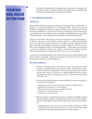• Encourage Medicaid and the NJ managed care organizations to examine reimbursement schedules. Consider incentives for preventive services including Early Periodic Screening, Diagnosis and Treatment (EPSDT).

### **2. Oral Health Education**

### *Challenge:*

Public understanding of the importance of pediatric oral health to ensure overall health is inadequate; as a result, oral healthcare is not considered a priority. The value of good oral healthcare is inadequately recognized by parents, guardians, early childhood staff, and even the medical establishment. Consumers have not been systematically advised on the need for regular dental visits, the standards of good oral hygiene, and the link between proper nutrition and oral health. This is particularly true for parents of children under age three.

Primary care providers and obstetrical providers lack education and understanding regarding the importance of oral health for children aged 0 to 6. Medical professionals need to be aware of the clinical appearance of oral disease and the important role they play in referring young children to the dentist for exams, treatment, and follow-up care. They must be apprised of pediatric oral health guidelines. Additionally, general dentists are often not comfortable treating young children. Professional development opportunities for general dentists to expand their skills in this area are not abundant.

Local and state health departments lack understanding about the health disparities that exist in pediatric oral health. Educational campaigns do not reflect the diverse cultures and languages of high-risk target populations.

- Require oral health modules in all child care centers that include oral health education. Included should be prevention activities, tooth brushing, and referrals to dentists for comprehensive oral evaluation and follow-up treatment. Recruit family mentors and advocates to support EHS/HS families to ensure oral health assessments, oral hygiene instructions, and dental referrals during well-child visits.
- Convene an Oral Health Summit for early childhood providers and caregivers. The content should address:
	- o Importance of early intervention and prevention for children (0-6);
	- o Identification of barriers to oral healthcare;
	- o Recruit mentors and advocates to support families;
	- o Importance of dental referrals; and
	- o Primary care and oral health.
- Develop a speaker's bureau that will support a statewide oral health campaign that would educate the public, health professionals, educators and policy makers, about the relationship between oral health and systemic health with an emphasis on:
	- o Health behaviors that assure good oral health; daily oral hygiene, routine dental check ups, early intervention services, proper use of fluoride, proper nutrition, and developing good oral habits for young children;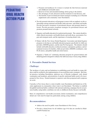- o Prenatal oral healthcare for women to include the link between maternal and childhood oral health status;
- o Removal of fear and misunderstandings about going to the dentist;
- o The advantage of early detection and the treatment of oral diseases; and
- o The benefits of proven dental prevention strategies including use of fluoride supplements and community water fluoridation.
- Provide prenatal education to all pregnant women with an emphasis on the relationships among maternal oral health, birth outcomes, and infant oral health. Provide preventive treatment of periodontal disease and prenatal dental referrals. Provide preventive treatment strategies for periodontal disease and promote prenatal dental referrals.
- Organize oral health education for medical professionals. The content should include clinical assessment, oral health disease and tooth decay, assessment of urgent and emergent needs, and the importance of ensuring dental visits.
- Partner with the New Jersey Dental Hygienists' Association and dental hygiene programs to develop an oral health education program specifically for child care providers, EHS/HS grantees, and the state Pre-K programs. The initiative should include oral health education, technical assistance, anticipatory guidance, and educational resources for families, child care providers, EHS/HS coordinators, state Pre-K nurses, and public health and school nurses.
- Organize a "hands on" continuing education program for general dentists and dental hygienists designed to enhance the skills necessary to treat young children.

#### **3. Preventive Dental Services**

#### *Challenge:*

The incidence of caries and our limitations in establishing good oral health in young children could be rectified by the implementation of successful preventive strategies. Best dental practices including fluoridation, judicious use of fluoride toothpaste, early dental examination and treatment, and promotion of specific nutritional habits need to be incorporated in New Jersey. Dental treatment is expensive and often postponed until symptoms are acute.

Currently, in New Jersey there is a lack of public water fluoridation and limited use of fluoride supplements in communities where water is not fluoridated. The failure to establish thoughtful nutritional habits combined with national marketing campaigns that do not promote healthy eating habits contributes not only to childhood obesity but poor oral health.

Rates of comprehensive oral health assessment, dental examination, and comprehensive dental care visits must be improved, particularly among young children.

- Address the need for public water fluoridation in New Jersey.
- Provide a dental home for all children (age 0-6) that are enrolled in Medicaid/NJ FamilyCare.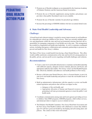- Promote use of fluoride toothpaste as recommended by the American Academy of Pediatric Dentistry and the American Dental Association.
- Promote the use of fluoride supplements among families and primary care providers when public fluoridated water in not available.
- Promote the use of fluoride varnishes for preschool age children.
- Increase the percentage of EHS/HS children who have an annual dental exam.

### **4. State Oral Health Leadership and Advocacy**

### *Challenge:*

A broad-based and coherent strategy is needed to ensure improvements in oral healthcare for vulnerable pre-school age children in New Jersey. There are currently multiple agencies and departments within the state and local governmental structure that have the responsibility for managing components of oral health care in the state. This arrangement has resulted in a fragmented oral health state leadership. As well, it constrains coordinated actions, including interagency collaboration and community partnerships to promote improved oral health for New Jersey's children.

The State of New Jersey would benefit from having a State Dental Director. This office would credibly ameliorate communication at the state and local levels among partners in the public, private, and non-profit sectors regarding oral health challenges and solutions.

- Create a state level oral health infrastructure to maintain oral health leadership with sufficient capacity, adequate resources (human, physical, and fiscal), and appropriate authority that enables New Jersey to have an Oral Health Program that effectively identifies and addresses oral health problems in New Jersey.
- Restore a full-time state Dental Director, who is a licensed dentist, to provi de state level oral health leadership and policies to meet the oral health needs of New Jersey.
- Build an administrative infrastructure with the capacity to review oral health related legislation and policies that will have an impact on the:
	- o Adequacy of the oral health, and
	- o Appropriate allocation of human and financial resources and programming in all state governmental agencies to meet the public's oral health needs.
- Coordinate communication among state and locals agencies providing services to children: State HMO programs, EHS/HS programs, child welfare services, and dental providers to improve access to dental services.
- The Pediatric Oral Health Committee, New Jersey Head Start Association and the New Jersey Oral Health Coalition will collaborate to ensure that children ages 0-6 will have good oral health by developing and advocating plans and policies. The context of this work will include: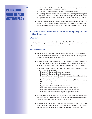- o Advocate the establishment of a strategic plan to identify pediatric oralhealth issues that have policy implications;
- o Address the need for fluoridation in the State of New Jersey;
- o Encourage the New Jersey Legislature to preserve funding and coverage for oral health services for all New Jersey health care program recipients; and
- o Implementation of a school entrance oral health examination by a dentist.
- Develop partnerships with the New Jersey Dental Association and the University of Medicine and Dentistry New Jersey – The Dental School to train general dentists to provide dental service to the children 0-6 pediatric patient.

### **5. Administrative Structures to Monitor the Quality of Oral Health Services**

#### *Challenge:*

New Jersey lacks adequate statewide data on childhood oral health disease prevalence and pediatric oral health service utilization. The New Jersey lacks adequate statewide data on childhood oral health and oral utilization.

- Establish a New Jersey Oral Health surveillance system to assess barriers to oral health care, utilization trends, overall oral health status, and to report oral health care system performance measures.
- Improve the quality and availability of data to establish baseline measures for the status of pediatric oral health in New Jersey. The parameters of measurement should be broad and consider descriptive and outcome performance measures.
	- o Develop a comprehensive, statewide, oral health needs assessment. The data system should describe:
		- Number of children needing dental treatment;
		- Number of children receiving dental treatment;
		- Number of children under 6 years old receiving Medicaid that include comprehensive dental benefits;
		- Number of children under 6 years old not receiving Medicaid or having Medicaid without dental benefits;
		- Number of pediatricians who incorporate routine dental screenings, oral hygiene instructions and referrals into well child visits;
		- Number of target children and families that are bi-lingual;
		- Number of dentist treating children with special needs; and
		- Number of general dentists willing to treat pregnant women.
- Encourage Medicaid managed care organizations to collect data on Head Start children and report utilization rates by dental category of service (diagnostic, preventive, and restorative, endodontic, oral surgical).
- Implement a process (survey, focus group, targeted informant interviews) to obtain information from the public on the accessibility, availability, adequacy, usage, effectiveness, and cultural competency of oral healthcare delivery systems.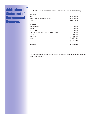### Addendum 1: Statement of Revenue and **Expenses**

The Pediatric Oral Health Forum revenue and expenses include the following:

| <b>Balance:</b>                            | \$3,940.00    |
|--------------------------------------------|---------------|
| <b>Total</b>                               | \$6,060.00    |
| Lunch                                      | \$2,275.00    |
| <b>Breakfast</b>                           | \$1,487.00    |
| Postage                                    | \$<br>158.00  |
| Conference supplies (binders, badges, etc) | \$<br>200.00  |
| Easel Pads:                                | \$<br>40.00   |
| Risers:                                    | \$<br>300.00  |
| Room Charge:                               | 1,600.00<br>S |
| <b>Expenses</b>                            |               |
| Total                                      | \$10,000.00   |
| <b>Head Start Collaboration Project</b>    | 5000.00<br>S  |
| <b>ASTDD</b>                               | 5000.00<br>\$ |
| <b>Revenue:</b>                            |               |

The balance will be carried over to support the Pediatric Oral Health Committee work in the coming months.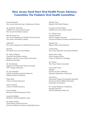### New Jersey Head Start Oral Health Forum Advisory Committee The Pediatric Oral Health Committee

Suzanne Burnette New Jersey Head Start-State Collaboration Director

Dr. Arnold H. Rosenheck UMDNJ, New Jersey Dental School New Jersey Oral Health Coalition

Beverly Kupiec-Sce New Jersey Department of Health & Senior Services New Jersey Oral Health Coalition

Judith Hall New Jersey Department of Health & Senior Services

Pat Kane PNC Bank Grow Up Great Program

Dr. Sidney Whitman Chairman Oral Health Coalition Member of the New Jersey Dental Association - Medicaid Committee

Dr. Neal Herman New Jersey Dental Association Region II ACF/Head Start Dental Consultant NYU College of Dentistry Tonya Hall-Coston

Dr. Sara Kalambur Child Care Health Consultant Dentist for Hoboken Board of Education

Elaine Ruhl Center for Family Resources

Joanne Calamita

Evora Summey Horizon Healthcare Dental, Inc. Montclair Child Development Center

Jacqueline Murphy Montclair Child Development Center

Dr. Bonnie Stanley Chief, Bureau of Dental Services Division of Medical Assistance and Health Services Deborah Tracy Regional Oral Health Program

Dr. Rosa Chaviano-Moran UMDNJ New Jersey Dental School

Dr. Clifford Green Assistant Director Office of Quality Assurance Division of Medical Assistance and Health Services

Manisha Tare Region II Booz Allen Hamilton

Veronica Ray New Jersey Head Start Association President

Sheree Neese-Todd Senior Program Officer Center for Health Care Strategies

Eric Elmore

Manager Division of Early Childhood Education Department of Education

Tonia Davis Educational Program Development Specialist Division of Early Childhood Education Department of Education

Center for Family Resources Dr. George McMurray, Chairperson President and CEO